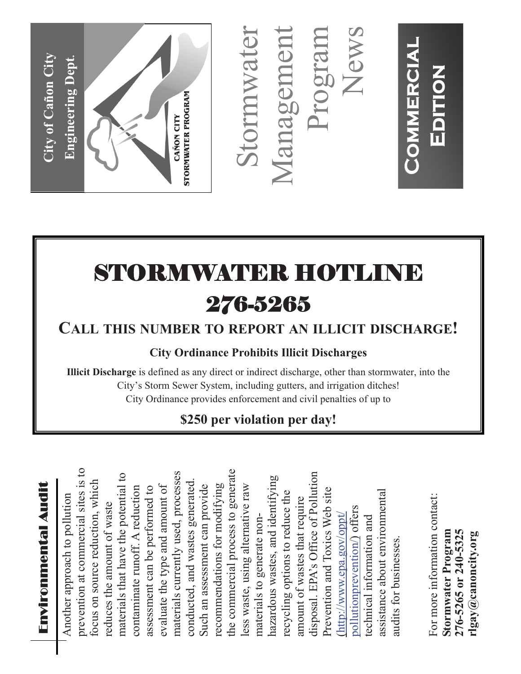

Stormwater Management Program News Stormwater Management

**Commercial**

**COMMERCIAL** 

**Edition**

EDITION

# STORMWATER HOTLI 276-5265

## **CALL THIS NUMBER TO REPORT AN ILLICIT DISCHARGE!**

#### **City Ordinance Prohibits Illicit Discharges**

**Illicit Discharge** is defined as any direct or indirect discharge, other than stormwater, into the City's Storm Sewer System, including gutters, and irrigation ditches! City Ordinance provides enforcement and civil penalties of up to

## **\$250 per violation per day!**

prevention at commercial sites is to the commercial process to generate prevention at commercial sites is to materials currently used, processes the commercial process to generate disposal. EPA's Office of Pollution materials that have the potential to materials currently used, processes disposal. EPA's Office of Pollution materials that have the potential to hazardous wastes, and identifying conducted, and wastes generated. hazardous wastes, and identifying focus on source reduction, which focus on source reduction, which conducted, and wastes generated recommendations for modifying Such an assessment can provide less waste, using alternative raw contaminate runoff. A reduction evaluate the type and amount of Such an assessment can provide recommendations for modifying assessment can be performed to evaluate the type and amount of less waste, using alternative raw contaminate runoff. A reduction assessment can be performed to Prevention and Toxics Web site assistance about environmental Prevention and Toxics Web site recycling options to reduce the assistance about environmental Another approach to pollution recycling options to reduce the Another approach to pollution amount of wastes that require amount of wastes that require reduces the amount of waste reduces the amount of waste pollutionprevention/) offers pollutionprevention/) offers (http://www.epa.gov/oppt/ technical information and materials to generate non-(http://www.epa.gov/oppt/ materials to generate nontechnical information and audits for businesses. audits for businesses.

For more information contact: For more information contact: **Stormwater Program 276-5265 or 240-5325**  276-5265 or 240-5325 rlgay@canoncity.org Stormwater Program **rlgay@canoncity.org**

### Enviro n me n t al A u dit